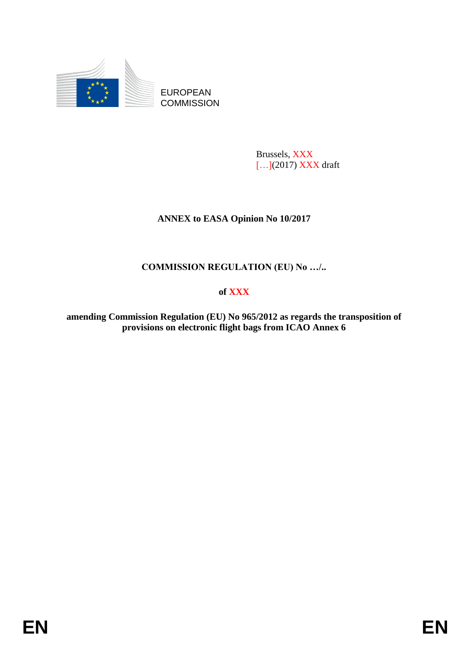

EUROPEAN **COMMISSION** 

> Brussels, XXX [...](2017) XXX draft

# **ANNEX to EASA Opinion No 10/2017**

# **COMMISSION REGULATION (EU) No …/..**

# **of XXX**

**amending Commission Regulation (EU) No 965/2012 as regards the transposition of provisions on electronic flight bags from ICAO Annex 6**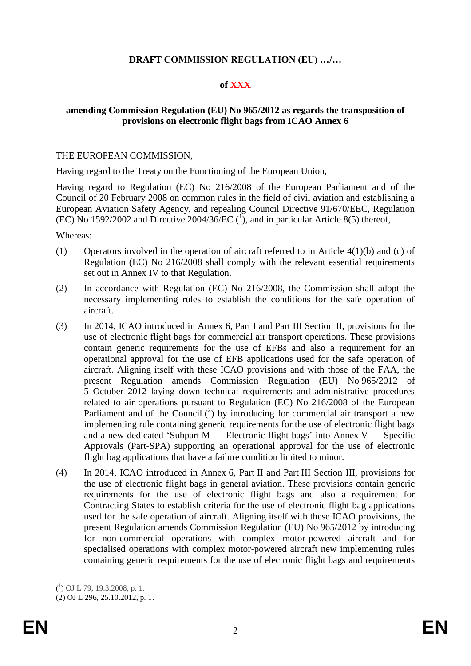### **DRAFT COMMISSION REGULATION (EU) …/…**

#### **of XXX**

### **amending Commission Regulation (EU) No 965/2012 as regards the transposition of provisions on electronic flight bags from ICAO Annex 6**

#### THE EUROPEAN COMMISSION,

Having regard to the Treaty on the Functioning of the European Union,

Having regard to Regulation (EC) No 216/2008 of the European Parliament and of the Council of 20 February 2008 on common rules in the field of civil aviation and establishing a European Aviation Safety Agency, and repealing Council Directive 91/670/EEC, Regulation (EC) No 1592/2002 and Directive 2004/36/EC  $({}^{1})$ , and in particular Article 8(5) thereof,

Whereas:

- (1) Operators involved in the operation of aircraft referred to in Article 4(1)(b) and (c) of Regulation (EC) No 216/2008 shall comply with the relevant essential requirements set out in Annex IV to that Regulation.
- (2) In accordance with Regulation (EC) No 216/2008, the Commission shall adopt the necessary implementing rules to establish the conditions for the safe operation of aircraft.
- (3) In 2014, ICAO introduced in Annex 6, Part I and Part III Section II, provisions for the use of electronic flight bags for commercial air transport operations. These provisions contain generic requirements for the use of EFBs and also a requirement for an operational approval for the use of EFB applications used for the safe operation of aircraft. Aligning itself with these ICAO provisions and with those of the FAA, the present Regulation amends Commission Regulation (EU) No 965/2012 of 5 October 2012 laying down technical requirements and administrative procedures related to air operations pursuant to Regulation (EC) No 216/2008 of the European Parliament and of the Council  $\binom{2}{1}$  by introducing for commercial air transport a new implementing rule containing generic requirements for the use of electronic flight bags and a new dedicated 'Subpart M — Electronic flight bags' into Annex V — Specific Approvals (Part-SPA) supporting an operational approval for the use of electronic flight bag applications that have a failure condition limited to minor.
- (4) In 2014, ICAO introduced in Annex 6, Part II and Part III Section III, provisions for the use of electronic flight bags in general aviation. These provisions contain generic requirements for the use of electronic flight bags and also a requirement for Contracting States to establish criteria for the use of electronic flight bag applications used for the safe operation of aircraft. Aligning itself with these ICAO provisions, the present Regulation amends Commission Regulation (EU) No 965/2012 by introducing for non-commercial operations with complex motor-powered aircraft and for specialised operations with complex motor-powered aircraft new implementing rules containing generic requirements for the use of electronic flight bags and requirements

<sup>1</sup>  $({}^{1})$  OJ L 79, 19.3.2008, p. 1.

<sup>(2)</sup> OJ L 296, 25.10.2012, p. 1.